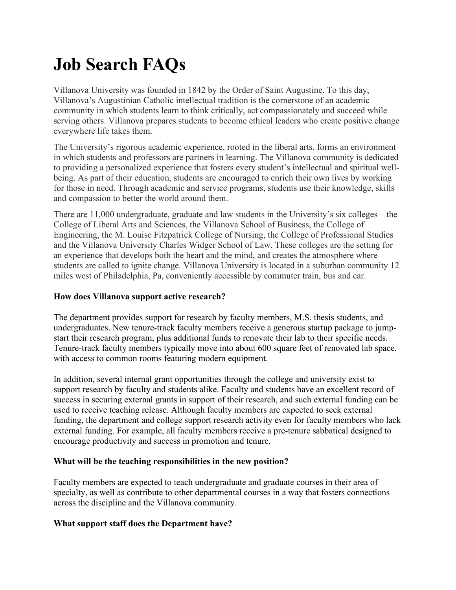# **Job Search FAQs**

Villanova University was founded in 1842 by the Order of Saint Augustine. To this day, Villanova's Augustinian Catholic intellectual tradition is the cornerstone of an academic community in which students learn to think critically, act compassionately and succeed while serving others. Villanova prepares students to become ethical leaders who create positive change everywhere life takes them.

The University's rigorous academic experience, rooted in the liberal arts, forms an environment in which students and professors are partners in learning. The Villanova community is dedicated to providing a personalized experience that fosters every student's intellectual and spiritual wellbeing. As part of their education, students are encouraged to enrich their own lives by working for those in need. Through academic and service programs, students use their knowledge, skills and compassion to better the world around them.

There are 11,000 undergraduate, graduate and law students in the University's six colleges—the College of Liberal Arts and Sciences, the Villanova School of Business, the College of Engineering, the M. Louise Fitzpatrick College of Nursing, the College of Professional Studies and the Villanova University Charles Widger School of Law. These colleges are the setting for an experience that develops both the heart and the mind, and creates the atmosphere where students are called to ignite change. Villanova University is located in a suburban community 12 miles west of Philadelphia, Pa, conveniently accessible by commuter train, bus and car.

## **How does Villanova support active research?**

The department provides support for research by faculty members, M.S. thesis students, and undergraduates. New tenure-track faculty members receive a generous startup package to jumpstart their research program, plus additional funds to renovate their lab to their specific needs. Tenure-track faculty members typically move into about 600 square feet of renovated lab space, with access to common rooms featuring modern equipment.

In addition, several internal grant opportunities through the college and university exist to support research by faculty and students alike. Faculty and students have an excellent record of success in securing external grants in support of their research, and such external funding can be used to receive teaching release. Although faculty members are expected to seek external funding, the department and college support research activity even for faculty members who lack external funding. For example, all faculty members receive a pre-tenure sabbatical designed to encourage productivity and success in promotion and tenure.

#### **What will be the teaching responsibilities in the new position?**

Faculty members are expected to teach undergraduate and graduate courses in their area of specialty, as well as contribute to other departmental courses in a way that fosters connections across the discipline and the Villanova community.

# **What support staff does the Department have?**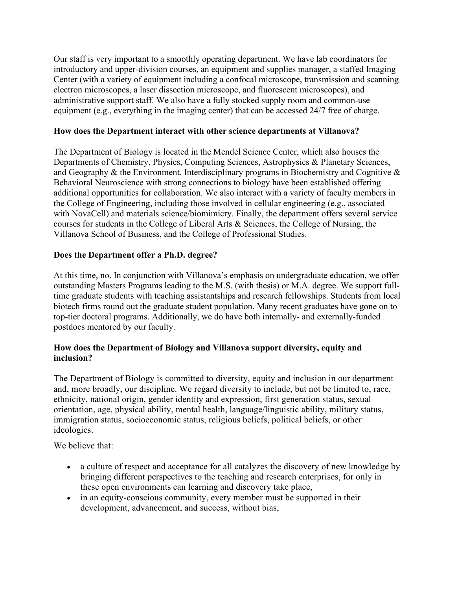Our staff is very important to a smoothly operating department. We have lab coordinators for introductory and upper-division courses, an equipment and supplies manager, a staffed Imaging Center (with a variety of equipment including a confocal microscope, transmission and scanning electron microscopes, a laser dissection microscope, and fluorescent microscopes), and administrative support staff. We also have a fully stocked supply room and common-use equipment (e.g., everything in the imaging center) that can be accessed 24/7 free of charge.

#### **How does the Department interact with other science departments at Villanova?**

The Department of Biology is located in the Mendel Science Center, which also houses the Departments of Chemistry, Physics, Computing Sciences, Astrophysics & Planetary Sciences, and Geography & the Environment. Interdisciplinary programs in Biochemistry and Cognitive & Behavioral Neuroscience with strong connections to biology have been established offering additional opportunities for collaboration. We also interact with a variety of faculty members in the College of Engineering, including those involved in cellular engineering (e.g., associated with NovaCell) and materials science/biomimicry. Finally, the department offers several service courses for students in the College of Liberal Arts & Sciences, the College of Nursing, the Villanova School of Business, and the College of Professional Studies.

#### **Does the Department offer a Ph.D. degree?**

At this time, no. In conjunction with Villanova's emphasis on undergraduate education, we offer outstanding Masters Programs leading to the M.S. (with thesis) or M.A. degree. We support fulltime graduate students with teaching assistantships and research fellowships. Students from local biotech firms round out the graduate student population. Many recent graduates have gone on to top-tier doctoral programs. Additionally, we do have both internally- and externally-funded postdocs mentored by our faculty.

#### **How does the Department of Biology and Villanova support diversity, equity and inclusion?**

The Department of Biology is committed to diversity, equity and inclusion in our department and, more broadly, our discipline. We regard diversity to include, but not be limited to, race, ethnicity, national origin, gender identity and expression, first generation status, sexual orientation, age, physical ability, mental health, language/linguistic ability, military status, immigration status, socioeconomic status, religious beliefs, political beliefs, or other ideologies.

We believe that:

- a culture of respect and acceptance for all catalyzes the discovery of new knowledge by bringing different perspectives to the teaching and research enterprises, for only in these open environments can learning and discovery take place,
- in an equity-conscious community, every member must be supported in their development, advancement, and success, without bias,